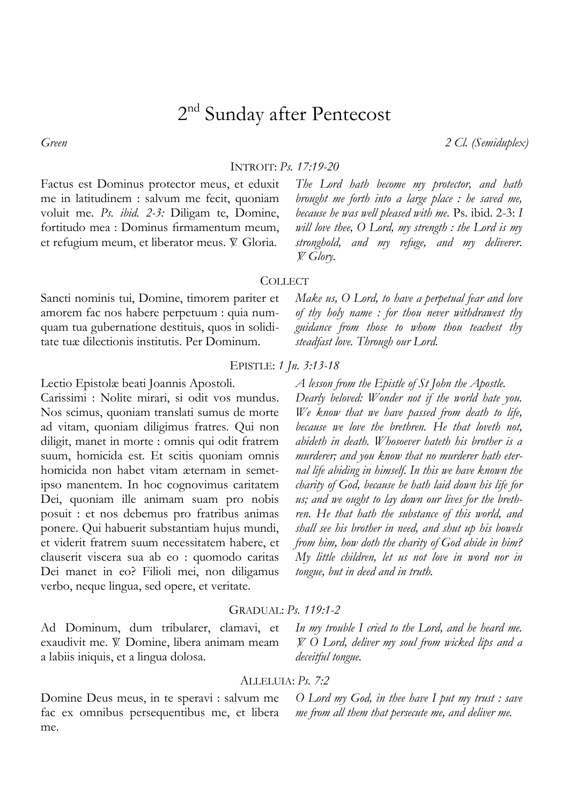# 2<sup>nd</sup> Sunday after Pentecost

*Green 2 Cl. (Semiduplex)*

INTROIT: *Ps. 17:19-20*

Factus est Dominus protector meus, et eduxit me in latitudinem : salvum me fecit, quoniam voluit me. *Ps. ibid. 2-3:* Diligam te, Domine, fortitudo mea : Dominus firmamentum meum, et refugium meum, et liberator meus. V. Gloria.

*The Lord hath become my protector, and hath brought me forth into a large place : he saved me, because he was well pleased with me.* Ps. ibid. 2-3: *I will love thee, O Lord, my strength : the Lord is my stronghold, and my refuge, and my deliverer.*  = *Glory.*

## **COLLECT**

Sancti nominis tui, Domine, timorem pariter et amorem fac nos habere perpetuum : quia numquam tua gubernatione destituis, quos in soliditate tuæ dilectionis institutis. Per Dominum.

## EPISTLE: *1 Jn. 3:13-18*

Lectio Epistolæ beati Joannis Apostoli.

Carissimi : Nolite mirari, si odit vos mundus. Nos scimus, quoniam translati sumus de morte ad vitam, quoniam diligimus fratres. Qui non diligit, manet in morte : omnis qui odit fratrem suum, homicida est. Et scitis quoniam omnis homicida non habet vitam æternam in semetipso manentem. In hoc cognovimus caritatem Dei, quoniam ille animam suam pro nobis posuit : et nos debemus pro fratribus animas ponere. Qui habuerit substantiam hujus mundi, et viderit fratrem suum necessitatem habere, et clauserit viscera sua ab eo : quomodo caritas Dei manet in eo? Filioli mei, non diligamus verbo, neque lingua, sed opere, et veritate.

Ad Dominum, dum tribularer, clamavi, et exaudivit me. V. Domine, libera animam meam a labiis iniquis, et a lingua dolosa.

# ALLELUIA: *Ps. 7:2*

GRADUAL: *Ps. 119:1-2*

Domine Deus meus, in te speravi : salvum me fac ex omnibus persequentibus me, et libera me.

*Make us, O Lord, to have a perpetual fear and love of thy holy name : for thou never withdrawest thy guidance from those to whom thou teachest thy steadfast love. Through our Lord.* 

# *A lesson from the Epistle of St John the Apostle.*

*Dearly beloved: Wonder not if the world hate you. We know that we have passed from death to life, because we love the brethren. He that loveth not, abideth in death. Whosoever hateth his brother is a murderer; and you know that no murderer hath eternal life abiding in himself. In this we have known the charity of God, because he hath laid down his life for us; and we ought to lay down our lives for the brethren. He that hath the substance of this world, and shall see his brother in need, and shut up his bowels from him, how doth the charity of God abide in him? My little children, let us not love in word nor in tongue, but in deed and in truth.* 

*In my trouble I cried to the Lord, and he heard me.*  = *O Lord, deliver my soul from wicked lips and a deceitful tongue.* 

*O Lord my God, in thee have I put my trust : save me from all them that persecute me, and deliver me.*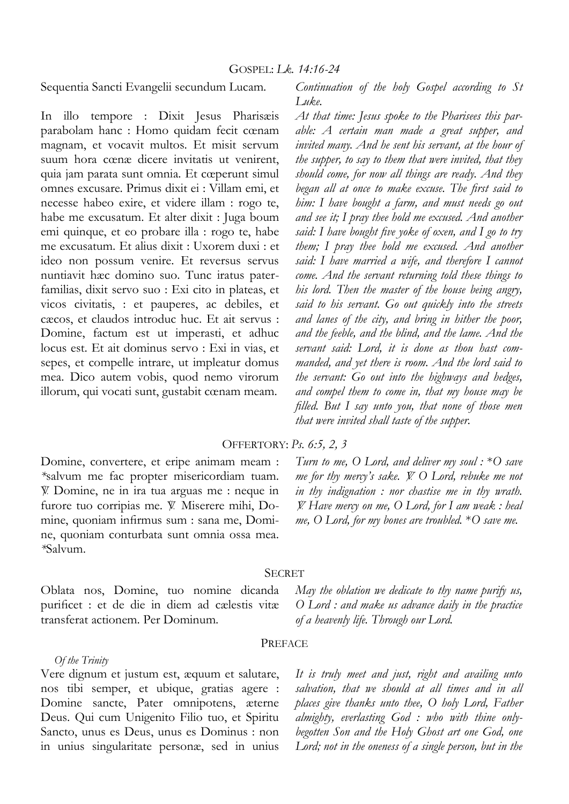Sequentia Sancti Evangelii secundum Lucam.

In illo tempore : Dixit Jesus Pharisæis parabolam hanc : Homo quidam fecit cœnam magnam, et vocavit multos. Et misit servum suum hora cœnæ dicere invitatis ut venirent, quia jam parata sunt omnia. Et cœperunt simul omnes excusare. Primus dixit ei : Villam emi, et necesse habeo exire, et videre illam : rogo te, habe me excusatum. Et alter dixit : Juga boum emi quinque, et eo probare illa : rogo te, habe me excusatum. Et alius dixit : Uxorem duxi : et ideo non possum venire. Et reversus servus nuntiavit hæc domino suo. Tunc iratus paterfamilias, dixit servo suo : Exi cito in plateas, et vicos civitatis, : et pauperes, ac debiles, et cæcos, et claudos introduc huc. Et ait servus : Domine, factum est ut imperasti, et adhuc locus est. Et ait dominus servo : Exi in vias, et sepes, et compelle intrare, ut impleatur domus mea. Dico autem vobis, quod nemo virorum illorum, qui vocati sunt, gustabit cœnam meam.

*Continuation of the holy Gospel according to St Luke.* 

*At that time: Jesus spoke to the Pharisees this parable: A certain man made a great supper, and invited many. And he sent his servant, at the hour of the supper, to say to them that were invited, that they should come, for now all things are ready. And they began all at once to make excuse. The first said to him: I have bought a farm, and must needs go out and see it; I pray thee hold me excused. And another said: I have bought five yoke of oxen, and I go to try them; I pray thee hold me excused. And another said: I have married a wife, and therefore I cannot come. And the servant returning told these things to his lord. Then the master of the house being angry, said to his servant. Go out quickly into the streets and lanes of the city, and bring in hither the poor, and the feeble, and the blind, and the lame. And the servant said: Lord, it is done as thou hast commanded, and yet there is room. And the lord said to the servant: Go out into the highways and hedges, and compel them to come in, that my house may be filled. But I say unto you, that none of those men that were invited shall taste of the supper.* 

#### OFFERTORY: *Ps. 6:5, 2, 3*

Domine, convertere, et eripe animam meam : *\**salvum me fac propter misericordiam tuam. = Domine, ne in ira tua arguas me : neque in furore tuo corripias me. V. Miserere mihi, Domine, quoniam infirmus sum : sana me, Domine, quoniam conturbata sunt omnia ossa mea. *\**Salvum.

*Turn to me, O Lord, and deliver my soul :* \**O save me for thy mercy's sake.*  $\breve{Y}$  O Lord, rebuke me not *in thy indignation : nor chastise me in thy wrath.*  = *Have mercy on me, O Lord, for I am weak : heal me, O Lord, for my bones are troubled.* \**O save me.* 

#### SECRET

Oblata nos, Domine, tuo nomine dicanda purificet : et de die in diem ad cælestis vitæ transferat actionem. Per Dominum.

*May the oblation we dedicate to thy name purify us, O Lord : and make us advance daily in the practice of a heavenly life. Through our Lord.* 

#### PREFACE

Vere dignum et justum est, æquum et salutare, nos tibi semper, et ubique, gratias agere : Domine sancte, Pater omnipotens, æterne Deus. Qui cum Unigenito Filio tuo, et Spiritu Sancto, unus es Deus, unus es Dominus : non in unius singularitate personæ, sed in unius

*Of the Trinity*

*It is truly meet and just, right and availing unto salvation, that we should at all times and in all places give thanks unto thee, O holy Lord, Father almighty, everlasting God : who with thine onlybegotten Son and the Holy Ghost art one God, one Lord; not in the oneness of a single person, but in the*